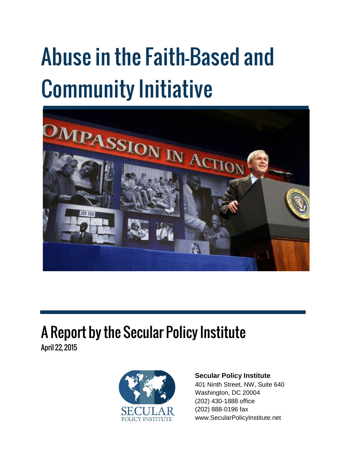# **Abuse in the Faith-Based and Community Initiative**



## A Report by the Secular Policy Institute

April 22, 2015



#### **Secular Policy Institute**

401 Ninth Street, NW, Suite 640 Washington, DC 20004 (202) 430-1888 office (202) 888-0196 fax www.SecularPolicyInstitute.net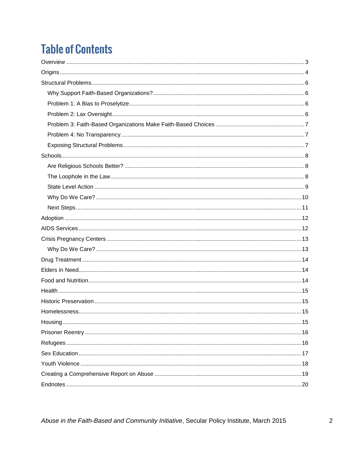### **Table of Contents**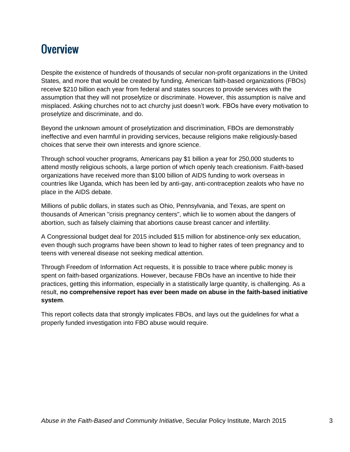#### <span id="page-2-0"></span>**Overview**

Despite the existence of hundreds of thousands of secular non-profit organizations in the United States, and more that would be created by funding, American faith-based organizations (FBOs) receive \$210 billion each year from federal and states sources to provide services with the assumption that they will not proselytize or discriminate. However, this assumption is naïve and misplaced. Asking churches not to act churchy just doesn't work. FBOs have every motivation to proselytize and discriminate, and do.

Beyond the unknown amount of proselytization and discrimination, FBOs are demonstrably ineffective and even harmful in providing services, because religions make religiously-based choices that serve their own interests and ignore science.

Through school voucher programs, Americans pay \$1 billion a year for 250,000 students to attend mostly religious schools, a large portion of which openly teach creationism. Faith-based organizations have received more than \$100 billion of AIDS funding to work overseas in countries like Uganda, which has been led by anti-gay, anti-contraception zealots who have no place in the AIDS debate.

Millions of public dollars, in states such as Ohio, Pennsylvania, and Texas, are spent on thousands of American "crisis pregnancy centers", which lie to women about the dangers of abortion, such as falsely claiming that abortions cause breast cancer and infertility.

A Congressional budget deal for 2015 included \$15 million for abstinence-only sex education, even though such programs have been shown to lead to higher rates of teen pregnancy and to teens with venereal disease not seeking medical attention.

Through Freedom of Information Act requests, it is possible to trace where public money is spent on faith-based organizations. However, because FBOs have an incentive to hide their practices, getting this information, especially in a statistically large quantity, is challenging. As a result, **no comprehensive report has ever been made on abuse in the faith-based initiative system**.

This report collects data that strongly implicates FBOs, and lays out the guidelines for what a properly funded investigation into FBO abuse would require.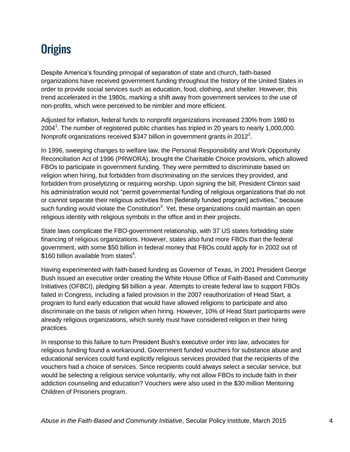### <span id="page-3-0"></span>**Origins**

Despite America's founding principal of separation of state and church, faith-based organizations have received government funding throughout the history of the United States in order to provide social services such as education, food, clothing, and shelter. However, this trend accelerated in the 1980s, marking a shift away from government services to the use of non-profits, which were perceived to be nimbler and more efficient.

Adjusted for inflation, federal funds to nonprofit organizations increased 230% from 1980 to 2004<sup>1</sup>. The number of registered public charities has tripled in 20 years to nearly 1,000,000. Nonprofit organizations received \$347 billion in government grants in 2012<sup>2</sup>.

In 1996, sweeping changes to welfare law, the Personal Responsibility and Work Opportunity Reconciliation Act of 1996 (PRWORA), brought the Charitable Choice provisions, which allowed FBOs to participate in government funding. They were permitted to discriminate based on religion when hiring, but forbidden from discriminating on the services they provided, and forbidden from proselytizing or requiring worship. Upon signing the bill, President Clinton said his administration would not "permit governmental funding of religious organizations that do not or cannot separate their religious activities from [federally funded program] activities," because such funding would violate the Constitution<sup>3</sup>. Yet, these organizations could maintain an open religious identity with religious symbols in the office and in their projects.

State laws complicate the FBO-government relationship, with 37 US states forbidding state financing of religious organizations. However, states also fund more FBOs than the federal government, with some \$50 billion in federal money that FBOs could apply for in 2002 out of  $$160$  billion available from states<sup>4</sup>.

Having experimented with faith-based funding as Governor of Texas, in 2001 President George Bush issued an executive order creating the White House Office of Faith-Based and Community Initiatives (OFBCI), pledging \$8 billion a year. Attempts to create federal law to support FBOs failed in Congress, including a failed provision in the 2007 reauthorization of Head Start, a program to fund early education that would have allowed religions to participate and also discriminate on the basis of religion when hiring. However, 10% of Head Start participants were already religious organizations, which surely must have considered religion in their hiring practices.

In response to this failure to turn President Bush's executive order into law, advocates for religious funding found a workaround. Government funded vouchers for substance abuse and educational services could fund explicitly religious services provided that the recipients of the vouchers had a choice of services. Since recipients could always select a secular service, but would be selecting a religious service voluntarily, why not allow FBOs to include faith in their addiction counseling and education? Vouchers were also used in the \$30 million Mentoring Children of Prisoners program.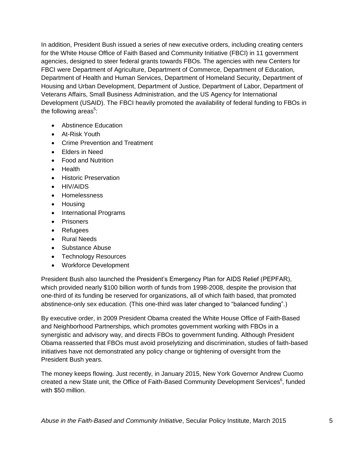In addition, President Bush issued a series of new executive orders, including creating centers for the White House Office of Faith Based and Community Initiative (FBCI) in 11 government agencies, designed to steer federal grants towards FBOs. The agencies with new Centers for FBCI were Department of Agriculture, Department of Commerce, Department of Education, Department of Health and Human Services, Department of Homeland Security, Department of Housing and Urban Development, Department of Justice, Department of Labor, Department of Veterans Affairs, Small Business Administration, and the US Agency for International Development (USAID). The FBCI heavily promoted the availability of federal funding to FBOs in the following areas<sup>5</sup>:

- Abstinence Education
- At-Risk Youth
- Crime Prevention and Treatment
- Elders in Need
- Food and Nutrition
- Health
- Historic Preservation
- HIV/AIDS
- Homelessness
- Housing
- International Programs
- Prisoners
- Refugees
- Rural Needs
- Substance Abuse
- Technology Resources
- Workforce Development

President Bush also launched the President's Emergency Plan for AIDS Relief (PEPFAR), which provided nearly \$100 billion worth of funds from 1998-2008, despite the provision that one-third of its funding be reserved for organizations, all of which faith based, that promoted abstinence-only sex education. (This one-third was later changed to "balanced funding".)

By executive order, in 2009 President Obama created the White House Office of Faith-Based and Neighborhood Partnerships, which promotes government working with FBOs in a synergistic and advisory way, and directs FBOs to government funding. Although President Obama reasserted that FBOs must avoid proselytizing and discrimination, studies of faith-based initiatives have not demonstrated any policy change or tightening of oversight from the President Bush years.

The money keeps flowing. Just recently, in January 2015, New York Governor Andrew Cuomo created a new State unit, the Office of Faith-Based Community Development Services<sup>6</sup>, funded with \$50 million.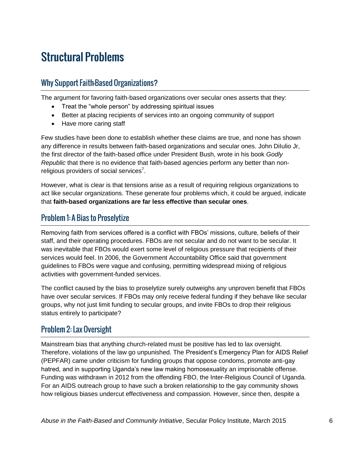### <span id="page-5-0"></span>**Structural Problems**

#### <span id="page-5-1"></span>**Why Support Faith-Based Organizations?**

The argument for favoring faith-based organizations over secular ones asserts that they:

- Treat the "whole person" by addressing spiritual issues
- Better at placing recipients of services into an ongoing community of support
- Have more caring staff

Few studies have been done to establish whether these claims are true, and none has shown any difference in results between faith-based organizations and secular ones. John DiIulio Jr, the first director of the faith-based office under President Bush, wrote in his book *Godly Republic* that there is no evidence that faith-based agencies perform any better than nonreligious providers of social services<sup>7</sup>.

However, what is clear is that tensions arise as a result of requiring religious organizations to act like secular organizations. These generate four problems which, it could be argued, indicate that **faith-based organizations are far less effective than secular ones**.

#### <span id="page-5-2"></span>**Problem 1: A Bias to Proselytize**

Removing faith from services offered is a conflict with FBOs' missions, culture, beliefs of their staff, and their operating procedures. FBOs are not secular and do not want to be secular. It was inevitable that FBOs would exert some level of religious pressure that recipients of their services would feel. In 2006, the Government Accountability Office said that government guidelines to FBOs were vague and confusing, permitting widespread mixing of religious activities with government-funded services.

The conflict caused by the bias to proselytize surely outweighs any unproven benefit that FBOs have over secular services. If FBOs may only receive federal funding if they behave like secular groups, why not just limit funding to secular groups, and invite FBOs to drop their religious status entirely to participate?

#### <span id="page-5-3"></span>**Problem 2: Lax Oversight**

Mainstream bias that anything church-related must be positive has led to lax oversight. Therefore, violations of the law go unpunished. The President's Emergency Plan for AIDS Relief (PEPFAR) came under criticism for funding groups that oppose condoms, promote anti-gay hatred, and in supporting Uganda's new law making homosexuality an imprisonable offense. Funding was withdrawn in 2012 from the offending FBO, the Inter-Religious Council of Uganda. For an AIDS outreach group to have such a broken relationship to the gay community shows how religious biases undercut effectiveness and compassion. However, since then, despite a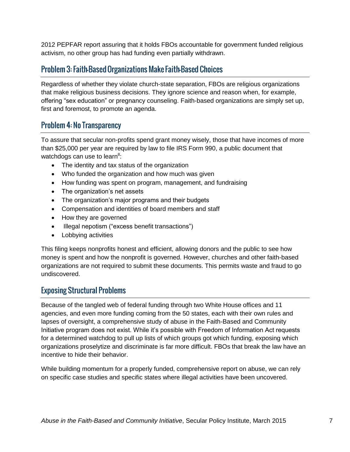2012 PEPFAR report assuring that it holds FBOs accountable for government funded religious activism, no other group has had funding even partially withdrawn.

#### <span id="page-6-0"></span>**Problem 3: Faith-Based Organizations Make Faith-Based Choices**

Regardless of whether they violate church-state separation, FBOs are religious organizations that make religious business decisions. They ignore science and reason when, for example, offering "sex education" or pregnancy counseling. Faith-based organizations are simply set up, first and foremost, to promote an agenda.

#### <span id="page-6-1"></span>**Problem 4: No Transparency**

To assure that secular non-profits spend grant money wisely, those that have incomes of more than \$25,000 per year are required by law to file IRS Form 990, a public document that watchdogs can use to learn $8$ :

- The identity and tax status of the organization
- Who funded the organization and how much was given
- How funding was spent on program, management, and fundraising
- The organization's net assets
- The organization's major programs and their budgets
- Compensation and identities of board members and staff
- How they are governed
- Illegal nepotism ("excess benefit transactions")
- Lobbying activities

This filing keeps nonprofits honest and efficient, allowing donors and the public to see how money is spent and how the nonprofit is governed. However, churches and other faith-based organizations are not required to submit these documents. This permits waste and fraud to go undiscovered.

#### <span id="page-6-2"></span>**Exposing Structural Problems**

Because of the tangled web of federal funding through two White House offices and 11 agencies, and even more funding coming from the 50 states, each with their own rules and lapses of oversight, a comprehensive study of abuse in the Faith-Based and Community Initiative program does not exist. While it's possible with Freedom of Information Act requests for a determined watchdog to pull up lists of which groups got which funding, exposing which organizations proselytize and discriminate is far more difficult. FBOs that break the law have an incentive to hide their behavior.

While building momentum for a properly funded, comprehensive report on abuse, we can rely on specific case studies and specific states where illegal activities have been uncovered.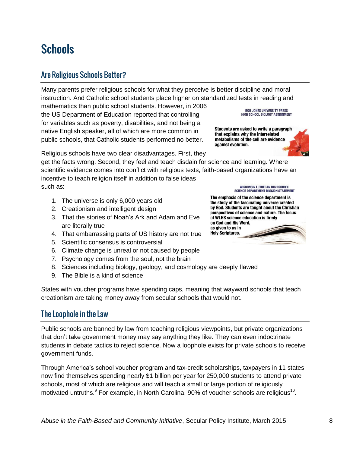### <span id="page-7-0"></span>**Schools**

#### <span id="page-7-1"></span>**Are Religious Schools Better?**

Many parents prefer religious schools for what they perceive is better discipline and moral instruction. And Catholic school students place higher on standardized tests in reading and

mathematics than public school students. However, in 2006 the US Department of Education reported that controlling for variables such as poverty, disabilities, and not being a native English speaker, all of which are more common in public schools, that Catholic students performed no better.

Religious schools have two clear disadvantages. First, they

get the facts wrong. Second, they feel and teach disdain for science and learning. Where scientific evidence comes into conflict with religious texts, faith-based organizations have an incentive to teach religion itself in addition to false ideas such as:

- 1. The universe is only 6,000 years old
- 2. Creationism and intelligent design
- 3. That the stories of Noah's Ark and Adam and Eve are literally true
- 4. That embarrassing parts of US history are not true
- 5. Scientific consensus is controversial
- 6. Climate change is unreal or not caused by people
- 7. Psychology comes from the soul, not the brain
- 8. Sciences including biology, geology, and cosmology are deeply flawed
- 9. The Bible is a kind of science

States with voucher programs have spending caps, meaning that wayward schools that teach creationism are taking money away from secular schools that would not.

#### <span id="page-7-2"></span>The Loophole in the Law

Public schools are banned by law from teaching religious viewpoints, but private organizations that don't take government money may say anything they like. They can even indoctrinate students in debate tactics to reject science. Now a loophole exists for private schools to receive government funds.

Through America's school voucher program and tax-credit scholarships, taxpayers in 11 states now find themselves spending nearly \$1 billion per year for 250,000 students to attend private schools, most of which are religious and will teach a small or large portion of religiously motivated untruths. $9$  For example, in North Carolina, 90% of voucher schools are religious<sup>10</sup>.

#### **WISCONSIN LUTHERAN HIGH SCHOOL SCIENCE DEPARTMENT MISSION STATEMENT**

The emphasis of the science department is the study of the fascinating universe created by God. Students are taught about the Christian perspectives of science and nature. The focus of WLHS science education is firmly on God and His Word, as given to us in **Holy Scriptures.** 



**BOB JONES UNIVERSITY PRESS** HIGH SCHOOL BIOLOGY ASSIGNMENT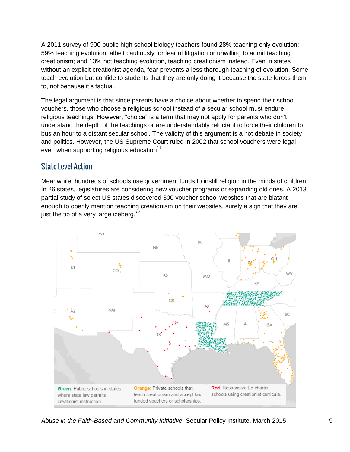A 2011 survey of 900 public high school biology teachers found 28% teaching only evolution; 59% teaching evolution, albeit cautiously for fear of litigation or unwilling to admit teaching creationism; and 13% not teaching evolution, teaching creationism instead. Even in states without an explicit creationist agenda, fear prevents a less thorough teaching of evolution. Some teach evolution but confide to students that they are only doing it because the state forces them to, not because it's factual.

The legal argument is that since parents have a choice about whether to spend their school vouchers, those who choose a religious school instead of a secular school must endure religious teachings. However, "choice" is a term that may not apply for parents who don't understand the depth of the teachings or are understandably reluctant to force their children to bus an hour to a distant secular school. The validity of this argument is a hot debate in society and politics. However, the US Supreme Court ruled in 2002 that school vouchers were legal even when supporting religious education $^{11}$ .

#### <span id="page-8-0"></span>**State Level Action**

Meanwhile, hundreds of schools use government funds to instill religion in the minds of children. In 26 states, legislatures are considering new voucher programs or expanding old ones. A 2013 partial study of select US states discovered 300 voucher school websites that are blatant enough to openly mention teaching creationism on their websites, surely a sign that they are just the tip of a very large iceberg.*<sup>12</sup> .*



*Abuse in the Faith-Based and Community Initiative*, Secular Policy Institute, March 2015 9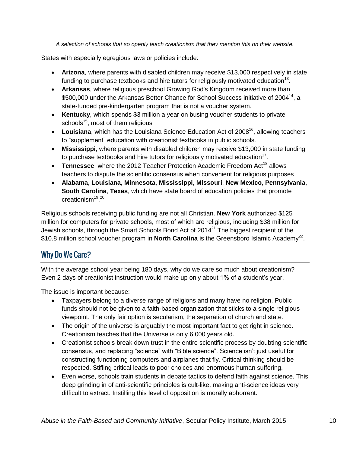*A selection of schools that so openly teach creationism that they mention this on their website.*

States with especially egregious laws or policies include:

- **Arizona**, where parents with disabled children may receive \$13,000 respectively in state funding to purchase textbooks and hire tutors for religiously motivated education<sup>13</sup>.
- **Arkansas**, where religious preschool Growing God's Kingdom received more than \$500,000 under the Arkansas Better Chance for School Success initiative of 2004<sup>14</sup>, a state-funded pre-kindergarten program that is not a voucher system.
- **Kentucky**, which spends \$3 million a year on busing voucher students to private schools<sup>15</sup>, most of them religious
- Louisiana, which has the Louisiana Science Education Act of 2008<sup>16</sup>, allowing teachers to "supplement" education with creationist textbooks in public schools.
- **Mississippi**, where parents with disabled children may receive \$13,000 in state funding to purchase textbooks and hire tutors for religiously motivated education<sup>17</sup>.
- Tennessee, where the 2012 Teacher Protection Academic Freedom Act<sup>18</sup> allows teachers to dispute the scientific consensus when convenient for religious purposes
- **Alabama**, **Louisiana**, **Minnesota**, **Mississippi**, **Missouri**, **New Mexico**, **Pennsylvania**, **South Carolina**, **Texas**, which have state board of education policies that promote creationism<sup>19,20</sup>

Religious schools receiving public funding are not all Christian. **New York** authorized \$125 million for computers for private schools, most of which are religious, including \$38 million for Jewish schools, through the Smart Schools Bond Act of  $2014<sup>21</sup>$  The biggest recipient of the \$10.8 million school voucher program in **North Carolina** is the Greensboro Islamic Academy<sup>22</sup>.

#### <span id="page-9-0"></span>**Why Do We Care?**

With the average school year being 180 days, why do we care so much about creationism? Even 2 days of creationist instruction would make up only about 1% of a student's year.

The issue is important because:

- Taxpayers belong to a diverse range of religions and many have no religion. Public funds should not be given to a faith-based organization that sticks to a single religious viewpoint. The only fair option is secularism, the separation of church and state.
- The origin of the universe is arguably the most important fact to get right in science. Creationism teaches that the Universe is only 6,000 years old.
- Creationist schools break down trust in the entire scientific process by doubting scientific consensus, and replacing "science" with "Bible science". Science isn't just useful for constructing functioning computers and airplanes that fly. Critical thinking should be respected. Stifling critical leads to poor choices and enormous human suffering.
- Even worse, schools train students in debate tactics to defend faith against science. This deep grinding in of anti-scientific principles is cult-like, making anti-science ideas very difficult to extract. Instilling this level of opposition is morally abhorrent.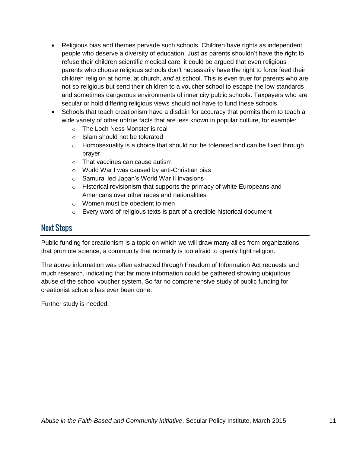- Religious bias and themes pervade such schools. Children have rights as independent people who deserve a diversity of education. Just as parents shouldn't have the right to refuse their children scientific medical care, it could be argued that even religious parents who choose religious schools don't necessarily have the right to force feed their children religion at home, at church, *and* at school. This is even truer for parents who are not so religious but send their children to a voucher school to escape the low standards and sometimes dangerous environments of inner city public schools. Taxpayers who are secular or hold differing religious views should not have to fund these schools.
- Schools that teach creationism have a disdain for accuracy that permits them to teach a wide variety of other untrue facts that are less known in popular culture, for example:
	- o The Loch Ness Monster is real
	- o Islam should not be tolerated
	- $\circ$  Homosexuality is a choice that should not be tolerated and can be fixed through prayer
	- o That vaccines can cause autism
	- o World War I was caused by anti-Christian bias
	- o Samurai led Japan's World War II invasions
	- o Historical revisionism that supports the primacy of white Europeans and Americans over other races and nationalities
	- o Women must be obedient to men
	- o Every word of religious texts is part of a credible historical document

#### <span id="page-10-0"></span>**Next Steps**

Public funding for creationism is a topic on which we will draw many allies from organizations that promote science, a community that normally is too afraid to openly fight religion.

The above information was often extracted through Freedom of Information Act requests and much research, indicating that far more information could be gathered showing ubiquitous abuse of the school voucher system. So far no comprehensive study of public funding for creationist schools has ever been done.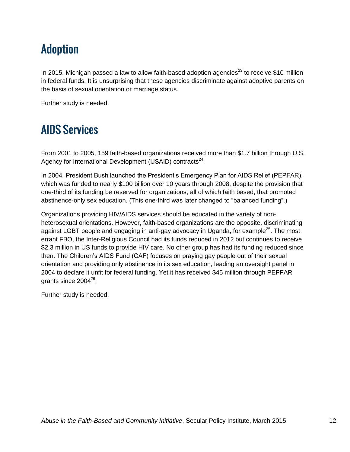### <span id="page-11-0"></span>**Adoption**

In 2015, Michigan passed a law to allow faith-based adoption agencies $^{23}$  to receive \$10 million in federal funds. It is unsurprising that these agencies discriminate against adoptive parents on the basis of sexual orientation or marriage status.

Further study is needed.

### <span id="page-11-1"></span>**AIDS Services**

From 2001 to 2005, 159 faith-based organizations received more than \$1.7 billion through U.S. Agency for International Development (USAID) contracts<sup>24</sup>.

In 2004, President Bush launched the President's Emergency Plan for AIDS Relief (PEPFAR), which was funded to nearly \$100 billion over 10 years through 2008, despite the provision that one-third of its funding be reserved for organizations, all of which faith based, that promoted abstinence-only sex education. (This one-third was later changed to "balanced funding".)

Organizations providing HIV/AIDS services should be educated in the variety of nonheterosexual orientations. However, faith-based organizations are the opposite, discriminating against LGBT people and engaging in anti-gay advocacy in Uganda, for example<sup>25</sup>. The most errant FBO, the Inter-Religious Council had its funds reduced in 2012 but continues to receive \$2.3 million in US funds to provide HIV care. No other group has had its funding reduced since then. The Children's AIDS Fund (CAF) focuses on praying gay people out of their sexual orientation and providing only abstinence in its sex education, leading an oversight panel in 2004 to declare it unfit for federal funding. Yet it has received \$45 million through PEPFAR grants since 2004 $^{26}$ .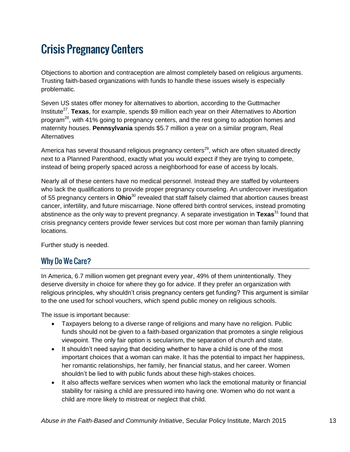### <span id="page-12-0"></span>**Crisis Pregnancy Centers**

Objections to abortion and contraception are almost completely based on religious arguments. Trusting faith-based organizations with funds to handle these issues wisely is especially problematic.

Seven US states offer money for alternatives to abortion, according to the Guttmacher Institute<sup>27</sup>. Texas, for example, spends \$9 million each year on their Alternatives to Abortion program<sup>28</sup>, with 41% going to pregnancy centers, and the rest going to adoption homes and maternity houses. **Pennsylvania** spends \$5.7 million a year on a similar program, Real **Alternatives** 

America has several thousand religious pregnancy centers<sup>29</sup>, which are often situated directly next to a Planned Parenthood, exactly what you would expect if they are trying to compete, instead of being properly spaced across a neighborhood for ease of access by locals.

Nearly all of these centers have no medical personnel. Instead they are staffed by volunteers who lack the qualifications to provide proper pregnancy counseling. An undercover investigation of 55 pregnancy centers in **Ohio**<sup>30</sup> revealed that staff falsely claimed that abortion causes breast cancer, infertility, and future miscarriage. None offered birth control services, instead promoting abstinence as the only way to prevent pregnancy. A separate investigation in **Texas**<sup>31</sup> found that crisis pregnancy centers provide fewer services but cost more per woman than family planning locations.

Further study is needed.

#### <span id="page-12-1"></span>**Why Do We Care?**

In America, 6.7 million women get pregnant every year, 49% of them unintentionally. They deserve diversity in choice for where they go for advice. If they prefer an organization with religious principles, why shouldn't crisis pregnancy centers get funding? This argument is similar to the one used for school vouchers, which spend public money on religious schools.

The issue is important because:

- Taxpayers belong to a diverse range of religions and many have no religion. Public funds should not be given to a faith-based organization that promotes a single religious viewpoint. The only fair option is secularism, the separation of church and state.
- It shouldn't need saying that deciding whether to have a child is one of the most important choices that a woman can make. It has the potential to impact her happiness, her romantic relationships, her family, her financial status, and her career. Women shouldn't be lied to with public funds about these high-stakes choices.
- It also affects welfare services when women who lack the emotional maturity or financial stability for raising a child are pressured into having one. Women who do not want a child are more likely to mistreat or neglect that child.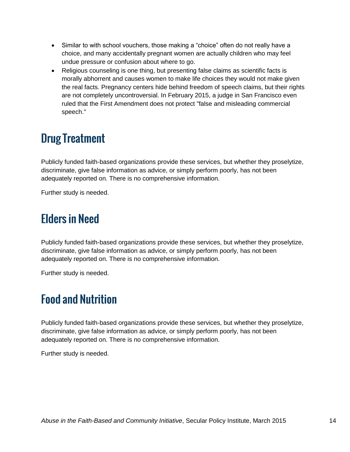- Similar to with school vouchers, those making a "choice" often do not really have a choice, and many accidentally pregnant women are actually children who may feel undue pressure or confusion about where to go.
- Religious counseling is one thing, but presenting false claims as scientific facts is morally abhorrent and causes women to make life choices they would not make given the real facts. Pregnancy centers hide behind freedom of speech claims, but their rights are not completely uncontroversial. In February 2015, a judge in San Francisco even ruled that the First Amendment does not protect "false and misleading commercial speech."

### <span id="page-13-0"></span>**Drug Treatment**

Publicly funded faith-based organizations provide these services, but whether they proselytize, discriminate, give false information as advice, or simply perform poorly, has not been adequately reported on. There is no comprehensive information.

Further study is needed.

### <span id="page-13-1"></span>**Elders in Need**

Publicly funded faith-based organizations provide these services, but whether they proselytize, discriminate, give false information as advice, or simply perform poorly, has not been adequately reported on. There is no comprehensive information.

Further study is needed.

### <span id="page-13-2"></span>**Food and Nutrition**

Publicly funded faith-based organizations provide these services, but whether they proselytize, discriminate, give false information as advice, or simply perform poorly, has not been adequately reported on. There is no comprehensive information.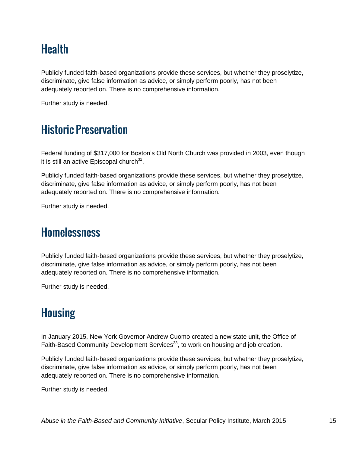### <span id="page-14-0"></span>**Health**

Publicly funded faith-based organizations provide these services, but whether they proselytize, discriminate, give false information as advice, or simply perform poorly, has not been adequately reported on. There is no comprehensive information.

Further study is needed.

### <span id="page-14-1"></span>**Historic Preservation**

Federal funding of \$317,000 for Boston's Old North Church was provided in 2003, even though it is still an active Episcopal church $^{32}$ .

Publicly funded faith-based organizations provide these services, but whether they proselytize, discriminate, give false information as advice, or simply perform poorly, has not been adequately reported on. There is no comprehensive information.

Further study is needed.

#### <span id="page-14-2"></span>**Homelessness**

Publicly funded faith-based organizations provide these services, but whether they proselytize, discriminate, give false information as advice, or simply perform poorly, has not been adequately reported on. There is no comprehensive information.

Further study is needed.

### <span id="page-14-3"></span>**Housing**

In January 2015, New York Governor Andrew Cuomo created a new state unit, the Office of Faith-Based Community Development Services<sup>33</sup>, to work on housing and job creation.

Publicly funded faith-based organizations provide these services, but whether they proselytize, discriminate, give false information as advice, or simply perform poorly, has not been adequately reported on. There is no comprehensive information.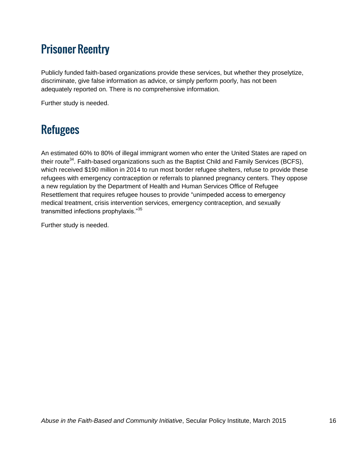### <span id="page-15-0"></span>**Prisoner Reentry**

Publicly funded faith-based organizations provide these services, but whether they proselytize, discriminate, give false information as advice, or simply perform poorly, has not been adequately reported on. There is no comprehensive information.

Further study is needed.

#### <span id="page-15-1"></span>**Refugees**

An estimated 60% to 80% of illegal immigrant women who enter the United States are raped on their route<sup>34</sup>. Faith-based organizations such as the Baptist Child and Family Services (BCFS), which received \$190 million in 2014 to run most border refugee shelters, refuse to provide these refugees with emergency contraception or referrals to planned pregnancy centers. They oppose a new regulation by the Department of Health and Human Services Office of Refugee Resettlement that requires refugee houses to provide "unimpeded access to emergency medical treatment, crisis intervention services, emergency contraception, and sexually transmitted infections prophylaxis."<sup>35</sup>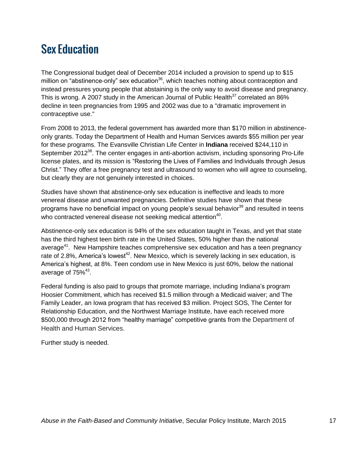### <span id="page-16-0"></span>**Sex Education**

The Congressional budget deal of December 2014 included a provision to spend up to \$15 million on "abstinence-only" sex education $36$ , which teaches nothing about contraception and instead pressures young people that abstaining is the only way to avoid disease and pregnancy. This is wrong. A 2007 study in the American Journal of Public Health<sup>37</sup> correlated an 86% decline in teen pregnancies from 1995 and 2002 was due to a "dramatic improvement in contraceptive use."

From 2008 to 2013, the federal government has awarded more than \$170 million in abstinenceonly grants. Today the Department of Health and Human Services awards \$55 million per year for these programs. The Evansville Christian Life Center in **Indiana** received \$244,110 in September 2012<sup>38</sup>. The center engages in anti-abortion activism, including sponsoring Pro-Life license plates, and its mission is "Restoring the Lives of Families and Individuals through Jesus Christ." They offer a free pregnancy test and ultrasound to women who will agree to counseling, but clearly they are not genuinely interested in choices.

Studies have shown that abstinence-only sex education is ineffective and leads to more venereal disease and unwanted pregnancies. Definitive studies have shown that these programs have no beneficial impact on young people's sexual behavior<sup>39</sup> and resulted in teens who contracted venereal disease not seeking medical attention<sup>40</sup>.

Abstinence-only sex education is 94% of the sex education taught in Texas, and yet that state has the third highest teen birth rate in the United States, 50% higher than the national average<sup>41</sup>. New Hampshire teaches comprehensive sex education and has a teen pregnancy rate of 2.8%, America's lowest<sup>42</sup>. New Mexico, which is severely lacking in sex education, is America's highest, at 8%. Teen condom use in New Mexico is just 60%, below the national average of  $75\%$ <sup>43</sup>.

Federal funding is also paid to groups that promote marriage, including Indiana's program Hoosier Commitment, which has received \$1.5 million through a Medicaid waiver; and The Family Leader, an Iowa program that has received \$3 million. Project SOS, The Center for Relationship Education, and the Northwest Marriage Institute, have each received more \$500,000 through 2012 from "healthy marriage" competitive grants from the Department of Health and Human Services.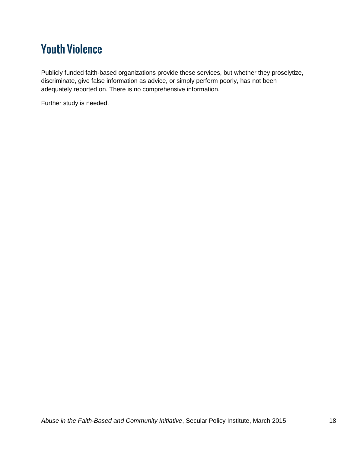### <span id="page-17-0"></span>**Youth Violence**

Publicly funded faith-based organizations provide these services, but whether they proselytize, discriminate, give false information as advice, or simply perform poorly, has not been adequately reported on. There is no comprehensive information.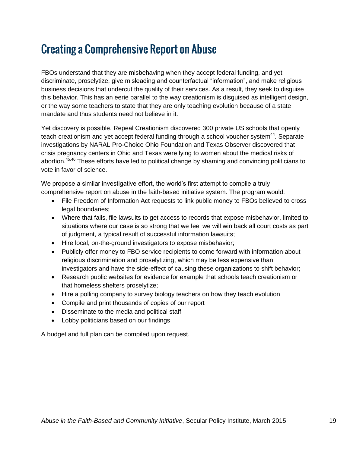#### <span id="page-18-0"></span>**Creating a Comprehensive Report on Abuse**

FBOs understand that they are misbehaving when they accept federal funding, and yet discriminate, proselytize, give misleading and counterfactual "information", and make religious business decisions that undercut the quality of their services. As a result, they seek to disguise this behavior. This has an eerie parallel to the way creationism is disguised as intelligent design, or the way some teachers to state that they are only teaching evolution because of a state mandate and thus students need not believe in it.

Yet discovery is possible. Repeal Creationism discovered 300 private US schools that openly teach creationism and yet accept federal funding through a school voucher system<sup>44</sup>. Separate investigations by NARAL Pro-Choice Ohio Foundation and Texas Observer discovered that crisis pregnancy centers in Ohio and Texas were lying to women about the medical risks of abortion.<sup>45,46</sup> These efforts have led to political change by shaming and convincing politicians to vote in favor of science.

We propose a similar investigative effort, the world's first attempt to compile a truly comprehensive report on abuse in the faith-based initiative system. The program would:

- File Freedom of Information Act requests to link public money to FBOs believed to cross legal boundaries;
- Where that fails, file lawsuits to get access to records that expose misbehavior, limited to situations where our case is so strong that we feel we will win back all court costs as part of judgment, a typical result of successful information lawsuits;
- Hire local, on-the-ground investigators to expose misbehavior;
- Publicly offer money to FBO service recipients to come forward with information about religious discrimination and proselytizing, which may be less expensive than investigators and have the side-effect of causing these organizations to shift behavior;
- Research public websites for evidence for example that schools teach creationism or that homeless shelters proselytize;
- Hire a polling company to survey biology teachers on how they teach evolution
- Compile and print thousands of copies of our report
- Disseminate to the media and political staff
- Lobby politicians based on our findings

A budget and full plan can be compiled upon request.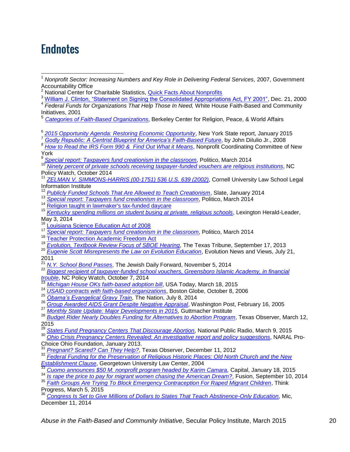#### <span id="page-19-0"></span>**Endnotes**

- $\overline{\phantom{a}}$ <sup>1</sup> Nonprofit Sector: Increasing Numbers and Key Role in Delivering Federal Services, 2007, Government Accountability Office
- National Center for Charitable Statistics, [Quick Facts About Nonprofits](http://nccs.urban.org/statistics/quickfacts.cfm)
- <sup>3</sup> [William J. Clinton, "Statement on Signing the Consolidated Appropriations Act, FY 2001",](http://www.presidency.ucsb.edu/ws/index.php?pid=1073) Dec. 21, 2000
- 4 *Federal Funds for Organizations That Help Those In Need,* White House Faith-Based and Community Initiatives, 2001
- <sup>5</sup> *[Categories of Faith-Based Organizations](http://berkleycenter.georgetown.edu/essays/categories-of-faith-based-organizations)*, Berkeley Center for Religion, Peace, & World Affairs
- 6 *[2015 Opportunity Agenda: Restoring Economic Opportunity](https://www.governor.ny.gov/news/2015-opportunity-agenda-restoring-economic-opportunity-4)*, New York State report, January 2015
- <sup>7</sup> *[Godly Republic: A Centrist Blueprint for America's Faith-Based Future](http://www.nytimes.com/2007/12/16/books/review/Feldman-t.html)*, by John DiIulio Jr., 2008
- *<sup>8</sup> [How to Read the IRS Form 990 & Find Out What it Means](http://www.npccny.org/Form_990/990.htm)*, Nonprofit Coordinating Committee of New York<br><sup>9</sup> So
- *[Special report: Taxpayers fund creationism in the classroom](http://www.politico.com/story/2014/03/education-creationism-104934.html)*, Politico, March 2014
- <sup>10</sup> *[Ninety percent of private schools receiving taxpayer-funded vouchers are religious institutions](http://pulse.ncpolicywatch.org/2014/10/09/ninety-percent-of-private-schools-receiving-taxpayer-funded-vouchers-are-religious-institutions/)*, NC Policy Watch, October 2014
- <sup>11</sup> *[ZELMAN V. SIMMONS-HARRIS \(00-1751\) 536 U.S. 639 \(2002\)](https://www.law.cornell.edu/supct/html/00-1751.ZS.html)*, Cornell University Law School Legal Information Institute
- <sup>12</sup> *[Publicly Funded Schools That Are Allowed to Teach Creationism](http://www.slate.com/articles/health_and_science/science/2014/01/creationism_in_public_schools_mapped_where_tax_money_supports_alternatives.html)*, Slate, January 2014
- <sup>13</sup> *[Special report: Taxpayers fund creationism in the classroom](http://www.politico.com/story/2014/03/education-creationism-104934.html)*, Politico, March 2014
- <sup>14</sup> [Religion taught in lawmaker's tax-funded daycare](http://www.arktimes.com/ArkansasBlog/archives/2011/11/03/complaint-religion-taught-in-lawmakers-tax-funded-daycare)
- <sup>15</sup> *[Kentucky spending millions on student busing at private, religious schools](http://www.kentucky.com/2014/05/03/3225667_kentucky-spending-millions-on.html)*, Lexington Herald-Leader, May 3, 2014
- <sup>16</sup> [Louisiana Science Education Act of 2008](http://ncse.com/files/pub/legal/aflegislation/08_la_sb733-amend.pdf)
- <sup>17</sup> *[Special report: Taxpayers fund](http://www.politico.com/story/2014/03/education-creationism-104934.html) creationism in the classroom*, Politico, March 2014
- <sup>18</sup> [Teacher Protection Academic Freedom Act](http://www.capitol.tn.gov/Bills/107/Bill/HB0368.pdf)
- <sup>19</sup> *[Evolution, Textbook Review Focus of SBOE Hearing](http://www.texastribune.org/2013/09/17/evolution-textbook-review-focus-sboe-hearing/)*, The Texas Tribune, September 17, 2013
- <sup>20</sup> *[Eugenie Scott Misrepresents the Law on Evolution Education](http://www.evolutionnews.org/2011/07/eugenie_scott_misrepresents_th048621.html)*, Evolution News and Views, July 21,  $2011$
- <sup>21</sup> [N.Y. School Bond Passes](http://forward.com/articles/208529/ny-school-bond-passes-m-boost-to-yeshivas/), The Jewish Daily Forward, November 5, 2014

<sup>22</sup> *[Biggest recipient of taxpayer-funded school vouchers, Greensboro Islamic Academy, in financial](http://www.ncpolicywatch.com/2014/10/07/biggest-recipient-of-taxpayer-funded-school-vouchers-greensboro-islamic-academy-in-financial-trouble/)  [trouble](http://www.ncpolicywatch.com/2014/10/07/biggest-recipient-of-taxpayer-funded-school-vouchers-greensboro-islamic-academy-in-financial-trouble/)*, NC Policy Watch, October 7, 2014

- <sup>23</sup> *[Michigan House OKs faith-based adoption bill](http://www.usatoday.com/story/news/nation/2015/03/18/mich-house-oks-faith-based-adoption-bills/24998077/)*, USA Today, March 18, 2015
- <sup>24</sup> *[USAID contracts with faith-based organizations](http://www.boston.com/news/special/faith_based/faith_based_organizations.htm)*, Boston Globe, October 8, 2006
- <sup>25</sup> *[Obama's Evangelical Gravy Train](http://www.thenation.com/article/180435/obamas-evangelical-gravy-train)*, The Nation, July 8, 2014
- <sup>26</sup> *[Group Awarded AIDS Grant Despite Negative Appraisal](http://www.washingtonpost.com/wp-dyn/articles/A27412-2005Feb15.html)*, Washington Post, February 16, 2005
- 27 *[Monthly State Update: Major Developments in 2015](http://www.guttmacher.org/statecenter/updates/)*, Guttmacher Institute

<sup>28</sup> *[Budget Rider Nearly Doubles Funding for Alternatives to Abortion Program](http://www.texasobserver.org/budget-rider-nearly-doubles-funding-for-alternatives-to-abortion-program/)*, Texas Observer, March 12,  $\frac{2015}{29}$ 

<sup>29</sup> *[States Fund Pregnancy Centers That Discourage Abortion](http://www.npr.org/blogs/health/2015/03/09/391877614/states-fund-pregnancy-centers-that-discourage-abortion)*, National Public Radio, March 9, 2015<br><sup>30</sup> Obje Crisis Pregnancy Centers Paugelack An investigative report and nation supportional NADAL

<sup>30</sup> *[Ohio Crisis Pregnancy Centers Revealed: An investigative report and policy suggestions](http://www.prochoiceohio.org/assets/bin/2013%20CPC%20report%20text/CPC%20Report%202013-all.pdf)*, NARAL Pro-Choice Ohio Foundation, January 2013.

<sup>31</sup> *[Pregnant? Scared? Can They Help?](http://www.texasobserver.org/pregnant-scared-can-they-help/)*, Texas Observer, December 11, 2012

<sup>32</sup> *[Federal Funding for the Preservation of Religious Historic Places: Old North Church and the New](http://scholarship.law.georgetown.edu/cgi/viewcontent.cgi?article=1002&context=hpps_papers)  [Establishment Clause](http://scholarship.law.georgetown.edu/cgi/viewcontent.cgi?article=1002&context=hpps_papers)*, Georgetown University Law Center, 2004

- <sup>33</sup> *[Cuomo announces \\$50 M. nonprofit program headed by Karim Camara,](http://www.capitalnewyork.com/article/albany/2015/01/8560419/cuomo-announces-50-m-nonprofit-program-headed-karim-camara)* Capital, January 18, 2015
- <sup>34</sup> *[Is rape the price to pay for migrant women chasing the American Dream?](http://fusion.net/story/17321/is-rape-the-price-to-pay-for-migrant-women-chasing-the-american-dream/)*, Fusion, September 10, 2014
- <sup>35</sup> *[Faith Groups Are Trying To Block Emergency Contraception For Raped Migrant Children](http://thinkprogress.org/immigration/2015/03/05/3627571/faith-refugee-contraception/)*, Think Progress, March 5, 2015

<sup>36</sup> *[Congress Is Set to Give Millions of Dollars to States That Teach Abstinence-Only Education](http://mic.com/articles/106254/congress-is-set-to-give-millions-of-dollars-to-states-that-teach-abstinence-only-education)*, Mic, December 11, 2014